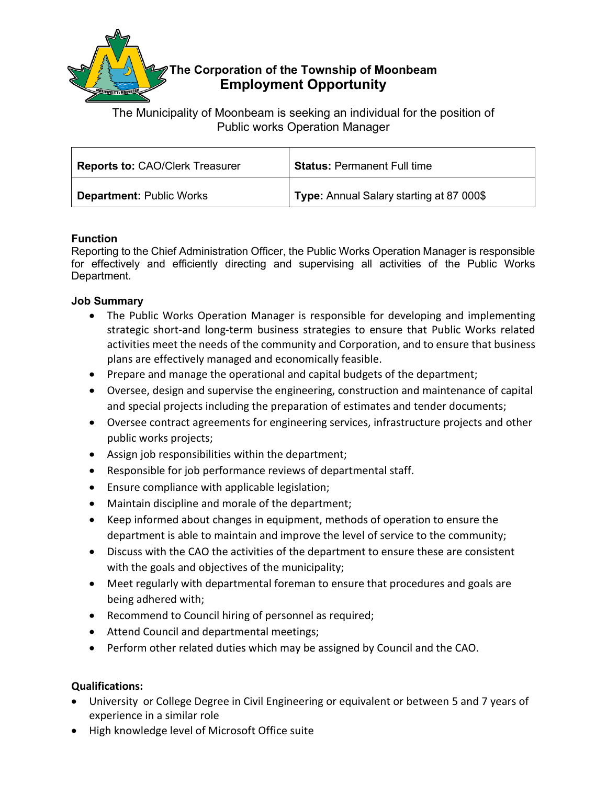

The Municipality of Moonbeam is seeking an individual for the position of Public works Operation Manager

| <b>Reports to: CAO/Clerk Treasurer</b> | <b>Status: Permanent Full time</b>       |
|----------------------------------------|------------------------------------------|
| <b>Department: Public Works</b>        | Type: Annual Salary starting at 87 000\$ |

## **Function**

Reporting to the Chief Administration Officer, the Public Works Operation Manager is responsible for effectively and efficiently directing and supervising all activities of the Public Works Department.

## **Job Summary**

- The Public Works Operation Manager is responsible for developing and implementing strategic short-and long-term business strategies to ensure that Public Works related activities meet the needs of the community and Corporation, and to ensure that business plans are effectively managed and economically feasible.
- Prepare and manage the operational and capital budgets of the department;
- Oversee, design and supervise the engineering, construction and maintenance of capital and special projects including the preparation of estimates and tender documents;
- Oversee contract agreements for engineering services, infrastructure projects and other public works projects;
- Assign job responsibilities within the department;
- Responsible for job performance reviews of departmental staff.
- Ensure compliance with applicable legislation;
- Maintain discipline and morale of the department;
- Keep informed about changes in equipment, methods of operation to ensure the department is able to maintain and improve the level of service to the community;
- Discuss with the CAO the activities of the department to ensure these are consistent with the goals and objectives of the municipality;
- Meet regularly with departmental foreman to ensure that procedures and goals are being adhered with;
- Recommend to Council hiring of personnel as required;
- Attend Council and departmental meetings;
- Perform other related duties which may be assigned by Council and the CAO.

## **Qualifications:**

- University or College Degree in Civil Engineering or equivalent or between 5 and 7 years of experience in a similar role
- High knowledge level of Microsoft Office suite